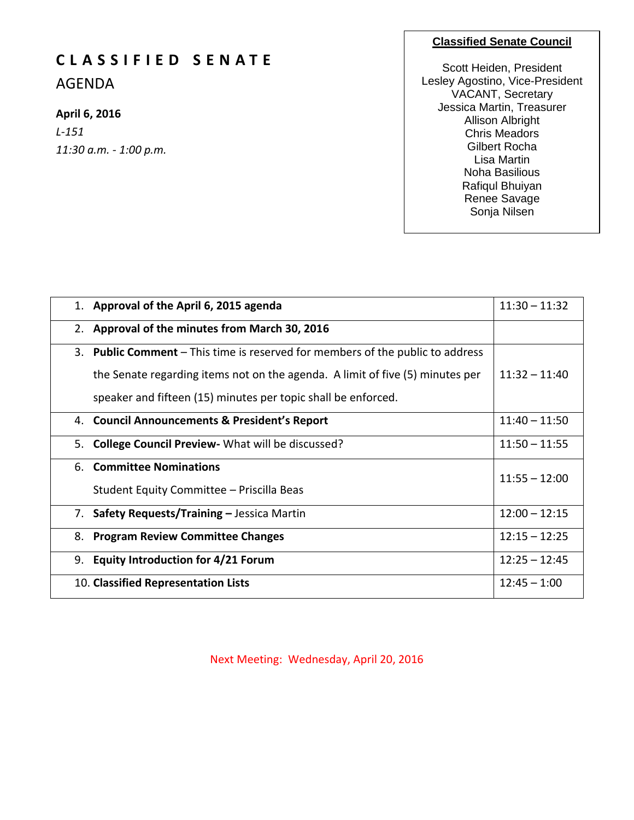# **C L A S S I F I E D S E N A T E**

AGENDA

## **April 6, 2016**

*L-151 11:30 a.m. - 1:00 p.m.*

### **Classified Senate Council**

Scott Heiden, President Lesley Agostino, Vice-President VACANT, Secretary Jessica Martin, Treasurer Allison Albright Chris Meadors Gilbert Rocha Lisa Martin Noha Basilious Rafiqul Bhuiyan Renee Savage Sonja Nilsen

|    | 1. Approval of the April 6, 2015 agenda                                            | $11:30 - 11:32$ |
|----|------------------------------------------------------------------------------------|-----------------|
|    | 2. Approval of the minutes from March 30, 2016                                     |                 |
| 3. | <b>Public Comment</b> – This time is reserved for members of the public to address |                 |
|    | the Senate regarding items not on the agenda. A limit of five (5) minutes per      | $11:32 - 11:40$ |
|    | speaker and fifteen (15) minutes per topic shall be enforced.                      |                 |
|    | 4. Council Announcements & President's Report                                      | $11:40 - 11:50$ |
|    | 5. College Council Preview - What will be discussed?                               | $11:50 - 11:55$ |
|    | 6. Committee Nominations                                                           | $11:55 - 12:00$ |
|    | Student Equity Committee - Priscilla Beas                                          |                 |
|    | 7. Safety Requests/Training - Jessica Martin                                       | $12:00 - 12:15$ |
| 8. | <b>Program Review Committee Changes</b>                                            | $12:15 - 12:25$ |
| 9. | <b>Equity Introduction for 4/21 Forum</b>                                          | $12:25 - 12:45$ |
|    | 10. Classified Representation Lists                                                | $12:45 - 1:00$  |

Next Meeting: Wednesday, April 20, 2016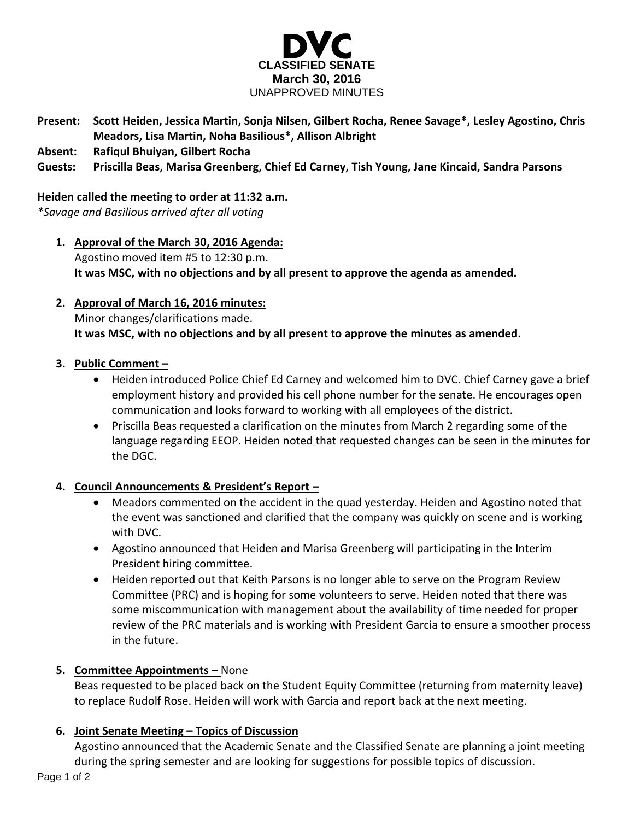

- **Present: Scott Heiden, Jessica Martin, Sonja Nilsen, Gilbert Rocha, Renee Savage\*, Lesley Agostino, Chris Meadors, Lisa Martin, Noha Basilious\*, Allison Albright**
- **Absent: Rafiqul Bhuiyan, Gilbert Rocha**
- **Guests: Priscilla Beas, Marisa Greenberg, Chief Ed Carney, Tish Young, Jane Kincaid, Sandra Parsons**

#### **Heiden called the meeting to order at 11:32 a.m.**

*\*Savage and Basilious arrived after all voting*

- **1. Approval of the March 30, 2016 Agenda:** Agostino moved item #5 to 12:30 p.m. **It was MSC, with no objections and by all present to approve the agenda as amended.**
- **2. Approval of March 16, 2016 minutes:**

Minor changes/clarifications made.

**It was MSC, with no objections and by all present to approve the minutes as amended.** 

### **3. Public Comment –**

- Heiden introduced Police Chief Ed Carney and welcomed him to DVC. Chief Carney gave a brief employment history and provided his cell phone number for the senate. He encourages open communication and looks forward to working with all employees of the district.
- Priscilla Beas requested a clarification on the minutes from March 2 regarding some of the language regarding EEOP. Heiden noted that requested changes can be seen in the minutes for the DGC.

### **4. Council Announcements & President's Report –**

- Meadors commented on the accident in the quad yesterday. Heiden and Agostino noted that the event was sanctioned and clarified that the company was quickly on scene and is working with DVC.
- Agostino announced that Heiden and Marisa Greenberg will participating in the Interim President hiring committee.
- Heiden reported out that Keith Parsons is no longer able to serve on the Program Review Committee (PRC) and is hoping for some volunteers to serve. Heiden noted that there was some miscommunication with management about the availability of time needed for proper review of the PRC materials and is working with President Garcia to ensure a smoother process in the future.

### **5. Committee Appointments –** None

Beas requested to be placed back on the Student Equity Committee (returning from maternity leave) to replace Rudolf Rose. Heiden will work with Garcia and report back at the next meeting.

### **6. Joint Senate Meeting – Topics of Discussion**

Agostino announced that the Academic Senate and the Classified Senate are planning a joint meeting during the spring semester and are looking for suggestions for possible topics of discussion.